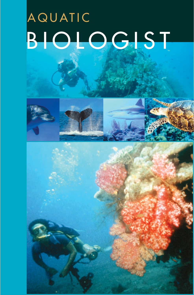# AQUATIC BIOLOGIST